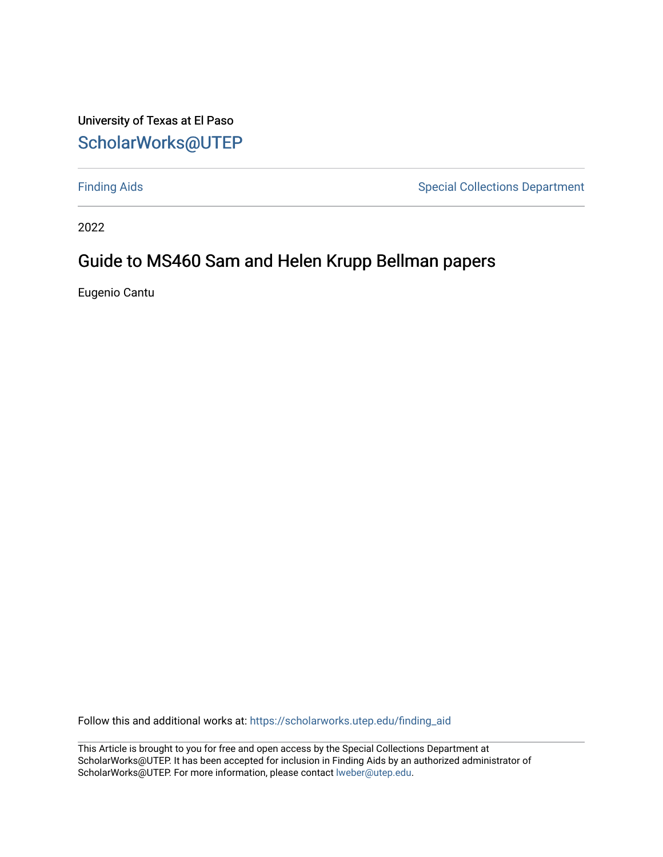#### University of Texas at El Paso [ScholarWorks@UTEP](https://scholarworks.utep.edu/)

[Finding Aids](https://scholarworks.utep.edu/finding_aid) **Special Collections Department** 

2022

#### Guide to MS460 Sam and Helen Krupp Bellman papers

Eugenio Cantu

Follow this and additional works at: [https://scholarworks.utep.edu/finding\\_aid](https://scholarworks.utep.edu/finding_aid?utm_source=scholarworks.utep.edu%2Ffinding_aid%2F270&utm_medium=PDF&utm_campaign=PDFCoverPages) 

This Article is brought to you for free and open access by the Special Collections Department at ScholarWorks@UTEP. It has been accepted for inclusion in Finding Aids by an authorized administrator of ScholarWorks@UTEP. For more information, please contact [lweber@utep.edu](mailto:lweber@utep.edu).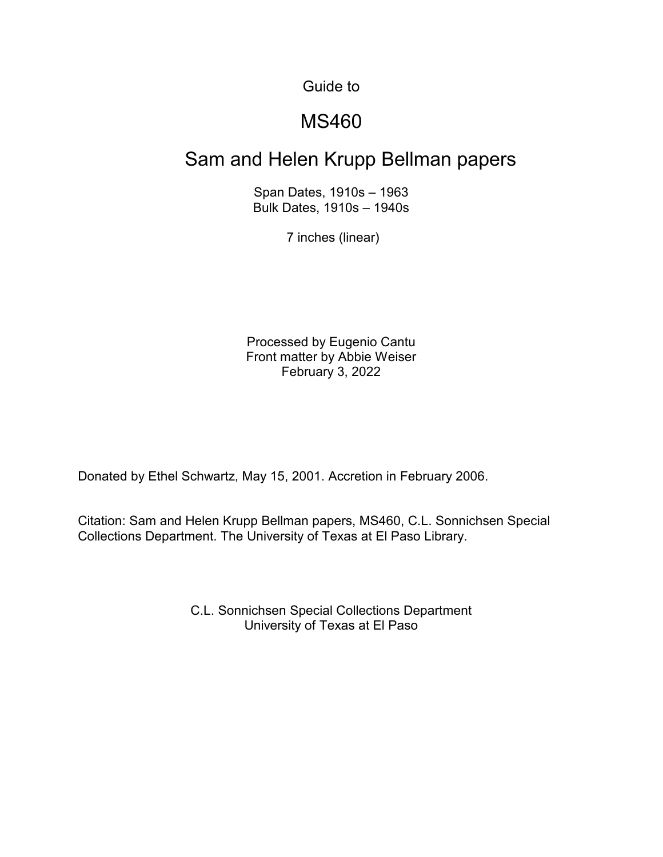Guide to

#### MS460

## Sam and Helen Krupp Bellman papers

Span Dates, 1910s – 1963 Bulk Dates, 1910s – 1940s

7 inches (linear)

Processed by Eugenio Cantu Front matter by Abbie Weiser February 3, 2022

Donated by Ethel Schwartz, May 15, 2001. Accretion in February 2006.

Citation: Sam and Helen Krupp Bellman papers, MS460, C.L. Sonnichsen Special Collections Department. The University of Texas at El Paso Library.

> C.L. Sonnichsen Special Collections Department University of Texas at El Paso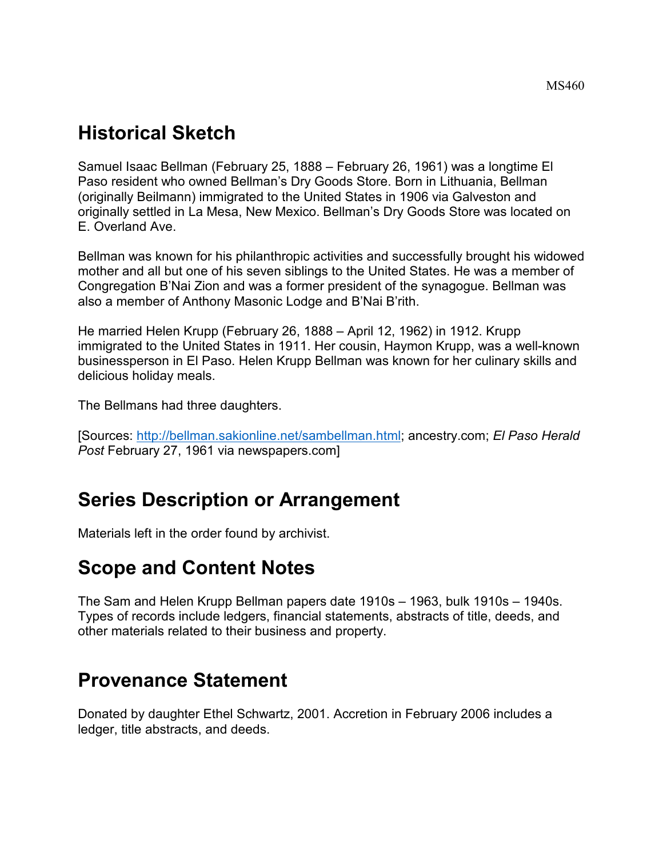## **Historical Sketch**

Samuel Isaac Bellman (February 25, 1888 – February 26, 1961) was a longtime El Paso resident who owned Bellman's Dry Goods Store. Born in Lithuania, Bellman (originally Beilmann) immigrated to the United States in 1906 via Galveston and originally settled in La Mesa, New Mexico. Bellman's Dry Goods Store was located on E. Overland Ave.

Bellman was known for his philanthropic activities and successfully brought his widowed mother and all but one of his seven siblings to the United States. He was a member of Congregation B'Nai Zion and was a former president of the synagogue. Bellman was also a member of Anthony Masonic Lodge and B'Nai B'rith.

He married Helen Krupp (February 26, 1888 – April 12, 1962) in 1912. Krupp immigrated to the United States in 1911. Her cousin, Haymon Krupp, was a well-known businessperson in El Paso. Helen Krupp Bellman was known for her culinary skills and delicious holiday meals.

The Bellmans had three daughters.

[Sources: [http://bellman.sakionline.net/sambellman.html;](http://bellman.sakionline.net/sambellman.html) ancestry.com; *El Paso Herald Post* February 27, 1961 via newspapers.com]

# **Series Description or Arrangement**

Materials left in the order found by archivist.

# **Scope and Content Notes**

The Sam and Helen Krupp Bellman papers date 1910s – 1963, bulk 1910s – 1940s. Types of records include ledgers, financial statements, abstracts of title, deeds, and other materials related to their business and property.

#### **Provenance Statement**

Donated by daughter Ethel Schwartz, 2001. Accretion in February 2006 includes a ledger, title abstracts, and deeds.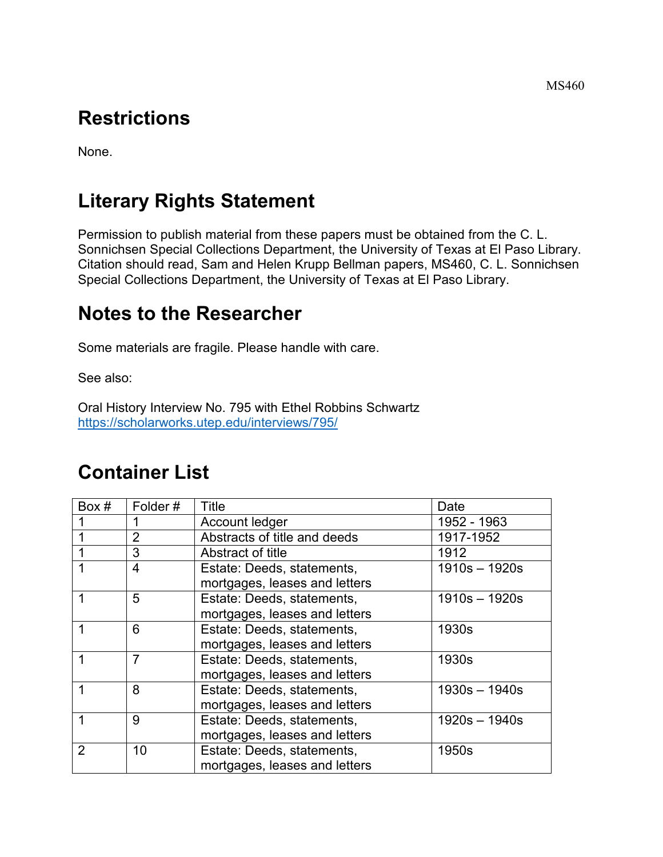# **Restrictions**

None.

# **Literary Rights Statement**

Permission to publish material from these papers must be obtained from the C. L. Sonnichsen Special Collections Department, the University of Texas at El Paso Library. Citation should read, Sam and Helen Krupp Bellman papers, MS460, C. L. Sonnichsen Special Collections Department, the University of Texas at El Paso Library.

## **Notes to the Researcher**

Some materials are fragile. Please handle with care.

See also:

Oral History Interview No. 795 with Ethel Robbins Schwartz <https://scholarworks.utep.edu/interviews/795/>

## **Container List**

| Box # | Folder#        | Title                                                       | Date            |
|-------|----------------|-------------------------------------------------------------|-----------------|
|       |                | Account ledger                                              | 1952 - 1963     |
|       | $\overline{2}$ | Abstracts of title and deeds                                | 1917-1952       |
|       | 3              | Abstract of title                                           | 1912            |
|       | 4              | Estate: Deeds, statements,<br>mortgages, leases and letters | $1910s - 1920s$ |
|       | 5              | Estate: Deeds, statements,<br>mortgages, leases and letters | 1910s - 1920s   |
|       | 6              | Estate: Deeds, statements,<br>mortgages, leases and letters | 1930s           |
|       | $\overline{7}$ | Estate: Deeds, statements,<br>mortgages, leases and letters | 1930s           |
|       | 8              | Estate: Deeds, statements,<br>mortgages, leases and letters | $1930s - 1940s$ |
| 1     | 9              | Estate: Deeds, statements,<br>mortgages, leases and letters | $1920s - 1940s$ |
| 2     | 10             | Estate: Deeds, statements,<br>mortgages, leases and letters | 1950s           |